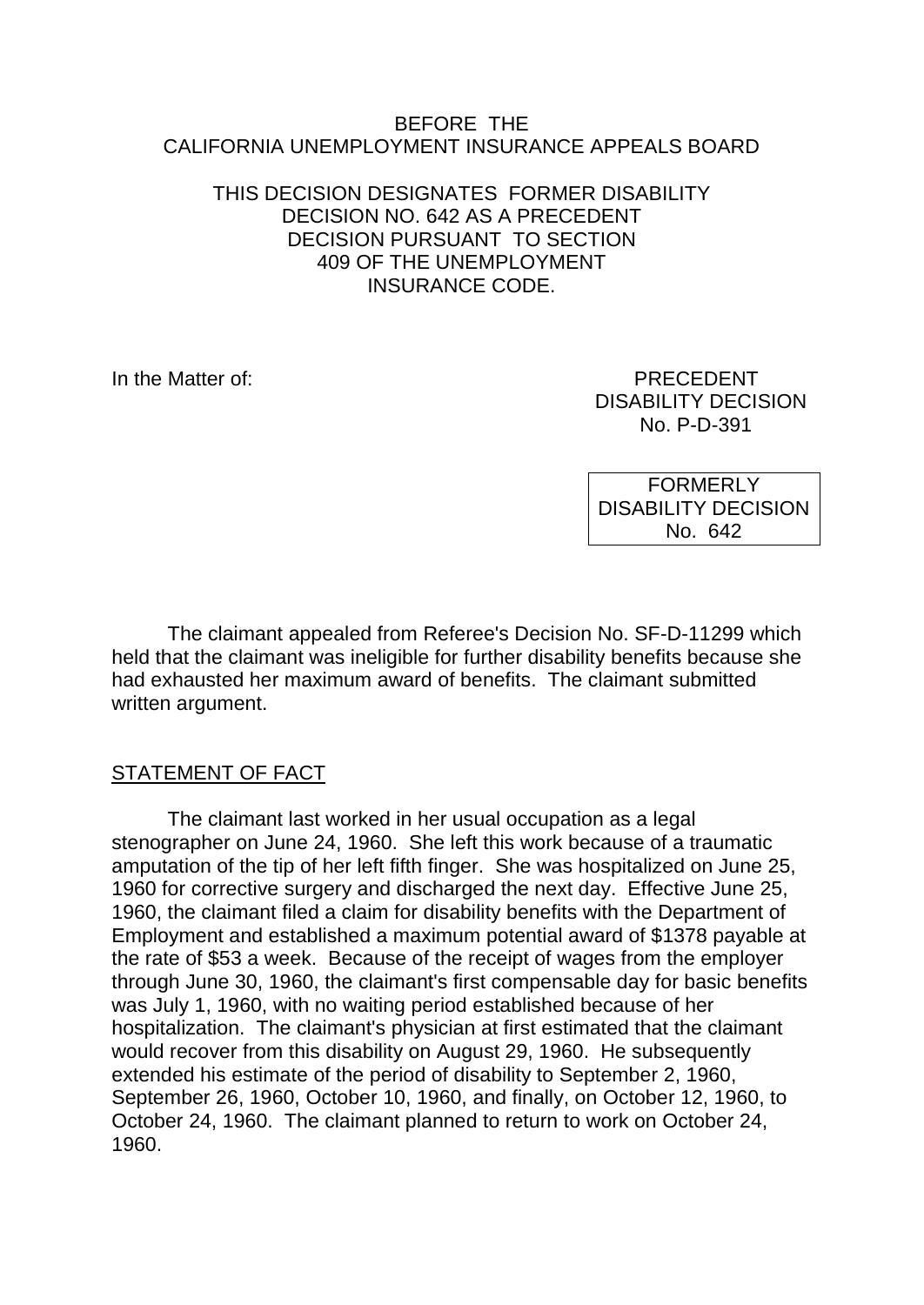#### BEFORE THE CALIFORNIA UNEMPLOYMENT INSURANCE APPEALS BOARD

### THIS DECISION DESIGNATES FORMER DISABILITY DECISION NO. 642 AS A PRECEDENT DECISION PURSUANT TO SECTION 409 OF THE UNEMPLOYMENT INSURANCE CODE.

In the Matter of: PRECEDENT DISABILITY DECISION No. P-D-391

> FORMERLY DISABILITY DECISION No. 642

The claimant appealed from Referee's Decision No. SF-D-11299 which held that the claimant was ineligible for further disability benefits because she had exhausted her maximum award of benefits. The claimant submitted written argument.

# STATEMENT OF FACT

The claimant last worked in her usual occupation as a legal stenographer on June 24, 1960. She left this work because of a traumatic amputation of the tip of her left fifth finger. She was hospitalized on June 25, 1960 for corrective surgery and discharged the next day. Effective June 25, 1960, the claimant filed a claim for disability benefits with the Department of Employment and established a maximum potential award of \$1378 payable at the rate of \$53 a week. Because of the receipt of wages from the employer through June 30, 1960, the claimant's first compensable day for basic benefits was July 1, 1960, with no waiting period established because of her hospitalization. The claimant's physician at first estimated that the claimant would recover from this disability on August 29, 1960. He subsequently extended his estimate of the period of disability to September 2, 1960, September 26, 1960, October 10, 1960, and finally, on October 12, 1960, to October 24, 1960. The claimant planned to return to work on October 24, 1960.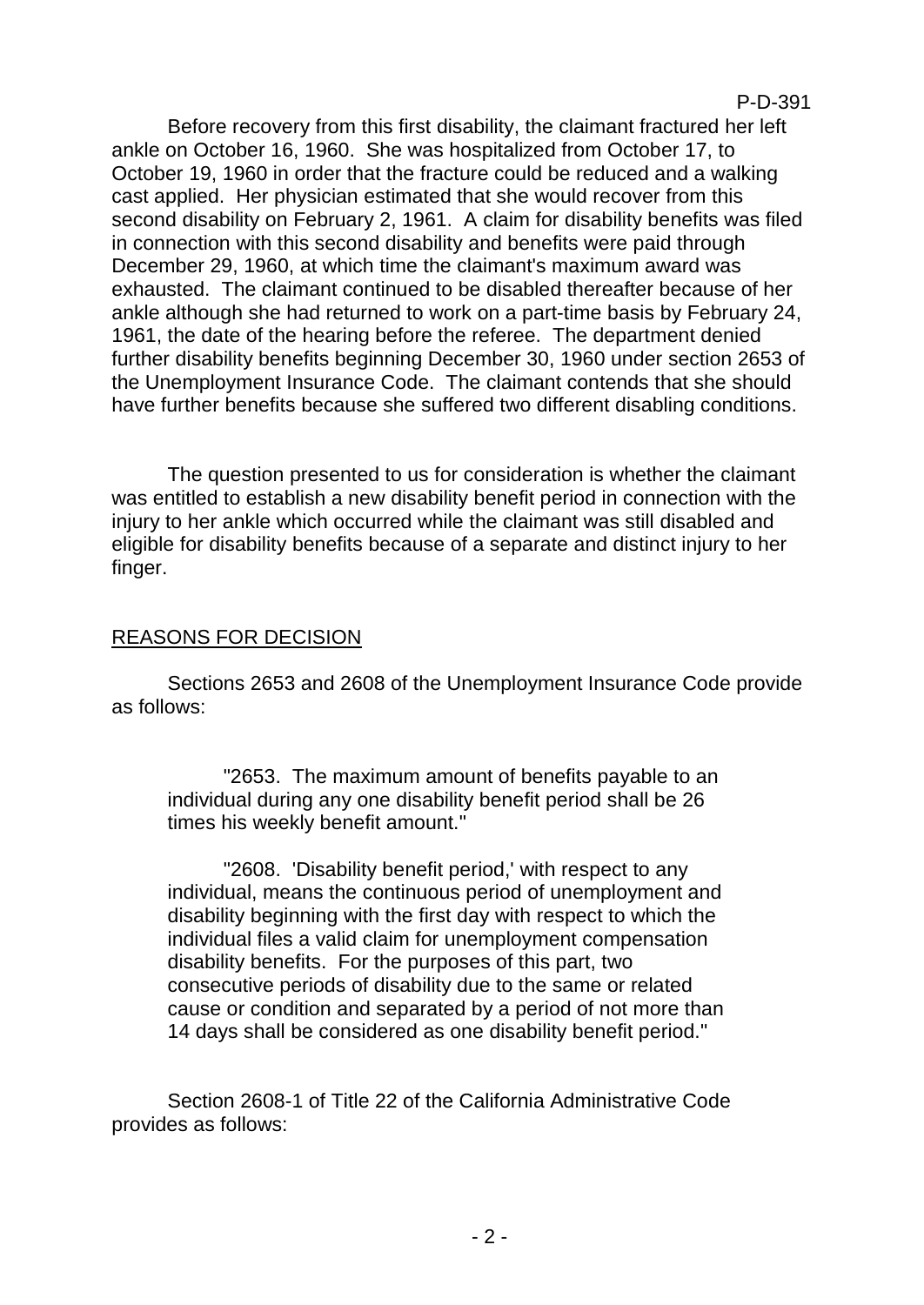P-D-391

Before recovery from this first disability, the claimant fractured her left ankle on October 16, 1960. She was hospitalized from October 17, to October 19, 1960 in order that the fracture could be reduced and a walking cast applied. Her physician estimated that she would recover from this second disability on February 2, 1961. A claim for disability benefits was filed in connection with this second disability and benefits were paid through December 29, 1960, at which time the claimant's maximum award was exhausted. The claimant continued to be disabled thereafter because of her ankle although she had returned to work on a part-time basis by February 24, 1961, the date of the hearing before the referee. The department denied further disability benefits beginning December 30, 1960 under section 2653 of the Unemployment Insurance Code. The claimant contends that she should have further benefits because she suffered two different disabling conditions.

The question presented to us for consideration is whether the claimant was entitled to establish a new disability benefit period in connection with the injury to her ankle which occurred while the claimant was still disabled and eligible for disability benefits because of a separate and distinct injury to her finger.

# REASONS FOR DECISION

Sections 2653 and 2608 of the Unemployment Insurance Code provide as follows:

"2653. The maximum amount of benefits payable to an individual during any one disability benefit period shall be 26 times his weekly benefit amount."

"2608. 'Disability benefit period,' with respect to any individual, means the continuous period of unemployment and disability beginning with the first day with respect to which the individual files a valid claim for unemployment compensation disability benefits. For the purposes of this part, two consecutive periods of disability due to the same or related cause or condition and separated by a period of not more than 14 days shall be considered as one disability benefit period."

Section 2608-1 of Title 22 of the California Administrative Code provides as follows: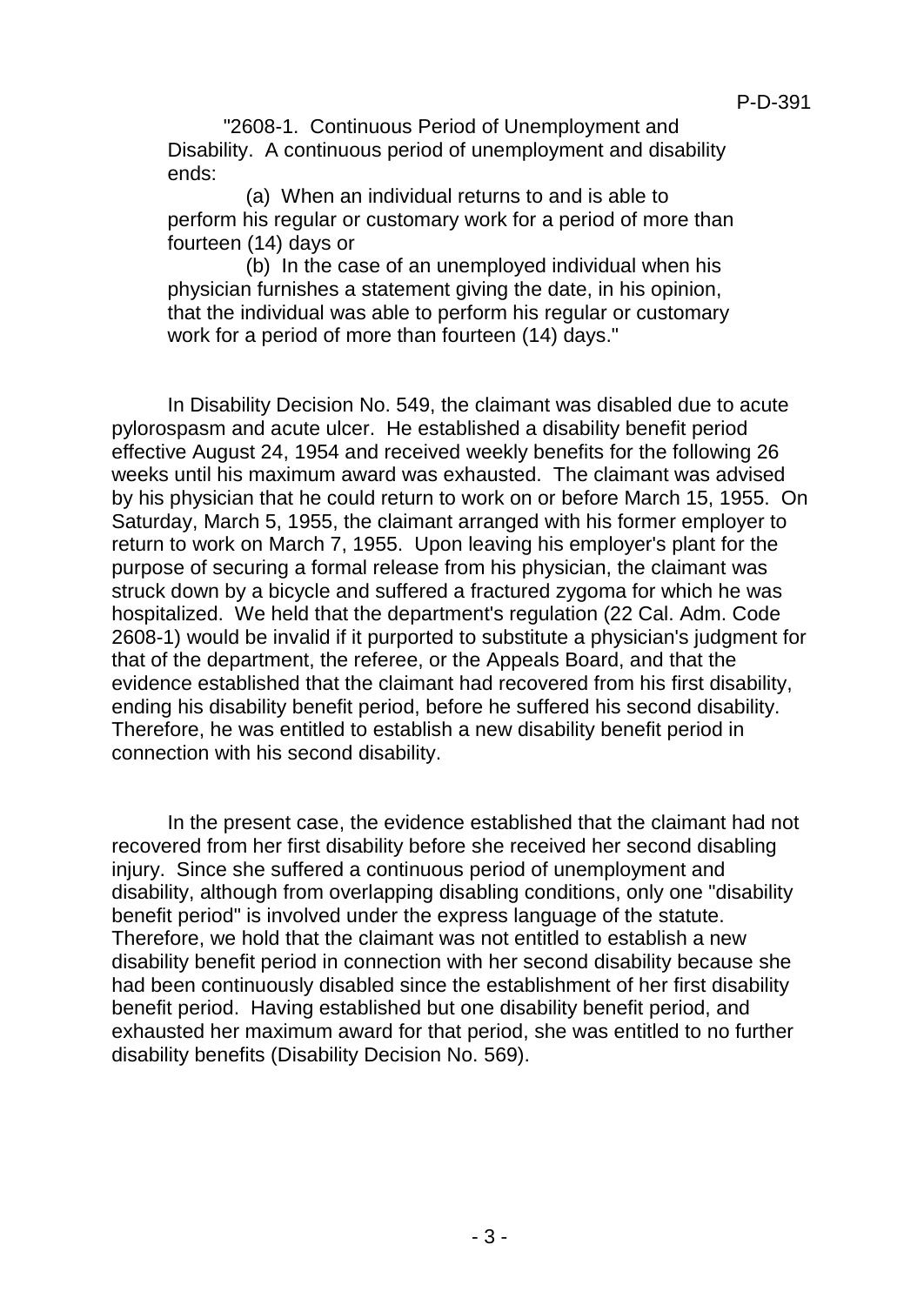"2608-1. Continuous Period of Unemployment and Disability. A continuous period of unemployment and disability ends:

 (a) When an individual returns to and is able to perform his regular or customary work for a period of more than fourteen (14) days or

 (b) In the case of an unemployed individual when his physician furnishes a statement giving the date, in his opinion, that the individual was able to perform his regular or customary work for a period of more than fourteen (14) days."

In Disability Decision No. 549, the claimant was disabled due to acute pylorospasm and acute ulcer. He established a disability benefit period effective August 24, 1954 and received weekly benefits for the following 26 weeks until his maximum award was exhausted. The claimant was advised by his physician that he could return to work on or before March 15, 1955. On Saturday, March 5, 1955, the claimant arranged with his former employer to return to work on March 7, 1955. Upon leaving his employer's plant for the purpose of securing a formal release from his physician, the claimant was struck down by a bicycle and suffered a fractured zygoma for which he was hospitalized. We held that the department's regulation (22 Cal. Adm. Code 2608-1) would be invalid if it purported to substitute a physician's judgment for that of the department, the referee, or the Appeals Board, and that the evidence established that the claimant had recovered from his first disability, ending his disability benefit period, before he suffered his second disability. Therefore, he was entitled to establish a new disability benefit period in connection with his second disability.

In the present case, the evidence established that the claimant had not recovered from her first disability before she received her second disabling injury. Since she suffered a continuous period of unemployment and disability, although from overlapping disabling conditions, only one "disability benefit period" is involved under the express language of the statute. Therefore, we hold that the claimant was not entitled to establish a new disability benefit period in connection with her second disability because she had been continuously disabled since the establishment of her first disability benefit period. Having established but one disability benefit period, and exhausted her maximum award for that period, she was entitled to no further disability benefits (Disability Decision No. 569).